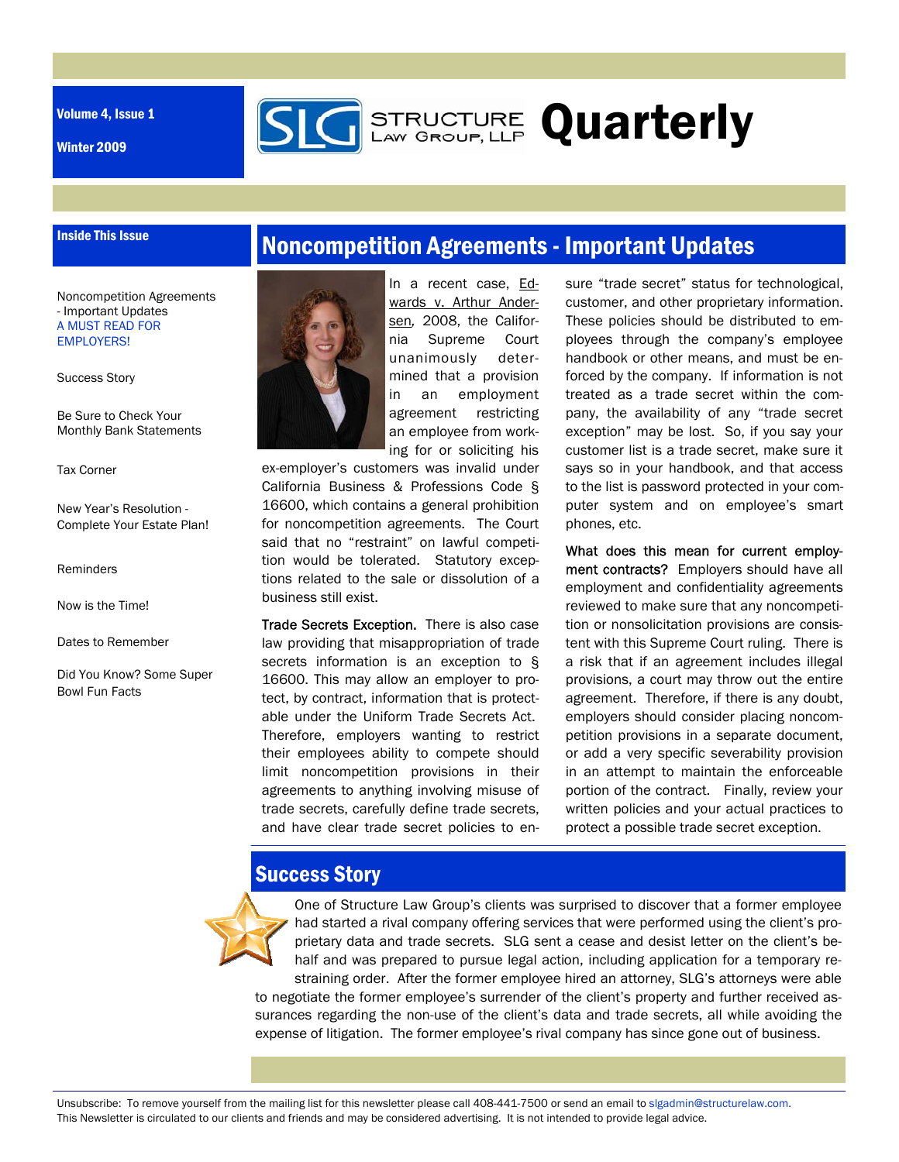Volume 4, Issue 1

Inside This Issue

Winter 2009

# Noncompetition Agreements - Important Updates

**STRUCTURE Quarterly** 

Noncompetition Agreements - Important Updates A MUST READ FOR EMPLOYERS!

Success Story

Be Sure to Check Your Monthly Bank Statements

Tax Corner

New Year's Resolution - Complete Your Estate Plan!

Reminders

Now is the Time!

Dates to Remember

Did You Know? Some Super Bowl Fun Facts



In a recent case, Edwards v. Arthur Andersen*,* 2008, the California Supreme Court unanimously determined that a provision in an employment agreement restricting an employee from working for or soliciting his

ex-employer's customers was invalid under California Business & Professions Code § 16600, which contains a general prohibition for noncompetition agreements. The Court said that no "restraint" on lawful competition would be tolerated. Statutory exceptions related to the sale or dissolution of a business still exist.

Trade Secrets Exception. There is also case law providing that misappropriation of trade secrets information is an exception to § 16600. This may allow an employer to protect, by contract, information that is protectable under the Uniform Trade Secrets Act. Therefore, employers wanting to restrict their employees ability to compete should limit noncompetition provisions in their agreements to anything involving misuse of trade secrets, carefully define trade secrets, and have clear trade secret policies to ensure "trade secret" status for technological, customer, and other proprietary information. These policies should be distributed to employees through the company's employee handbook or other means, and must be enforced by the company. If information is not treated as a trade secret within the company, the availability of any "trade secret exception" may be lost. So, if you say your customer list is a trade secret, make sure it says so in your handbook, and that access to the list is password protected in your computer system and on employee's smart phones, etc.

What does this mean for current employment contracts? Employers should have all employment and confidentiality agreements reviewed to make sure that any noncompetition or nonsolicitation provisions are consistent with this Supreme Court ruling. There is a risk that if an agreement includes illegal provisions, a court may throw out the entire agreement. Therefore, if there is any doubt, employers should consider placing noncompetition provisions in a separate document, or add a very specific severability provision in an attempt to maintain the enforceable portion of the contract. Finally, review your written policies and your actual practices to protect a possible trade secret exception.

## **Success Story**



One of Structure Law Group's clients was surprised to discover that a former employee had started a rival company offering services that were performed using the client's proprietary data and trade secrets. SLG sent a cease and desist letter on the client's behalf and was prepared to pursue legal action, including application for a temporary restraining order. After the former employee hired an attorney, SLG's attorneys were able to negotiate the former employee's surrender of the client's property and further received assurances regarding the non-use of the client's data and trade secrets, all while avoiding the expense of litigation. The former employee's rival company has since gone out of business.

Unsubscribe: To remove yourself from the mailing list for this newsletter please call 408-441-7500 or send an email to slgadmin@structurelaw.com. This Newsletter is circulated to our clients and friends and may be considered advertising. It is not intended to provide legal advice.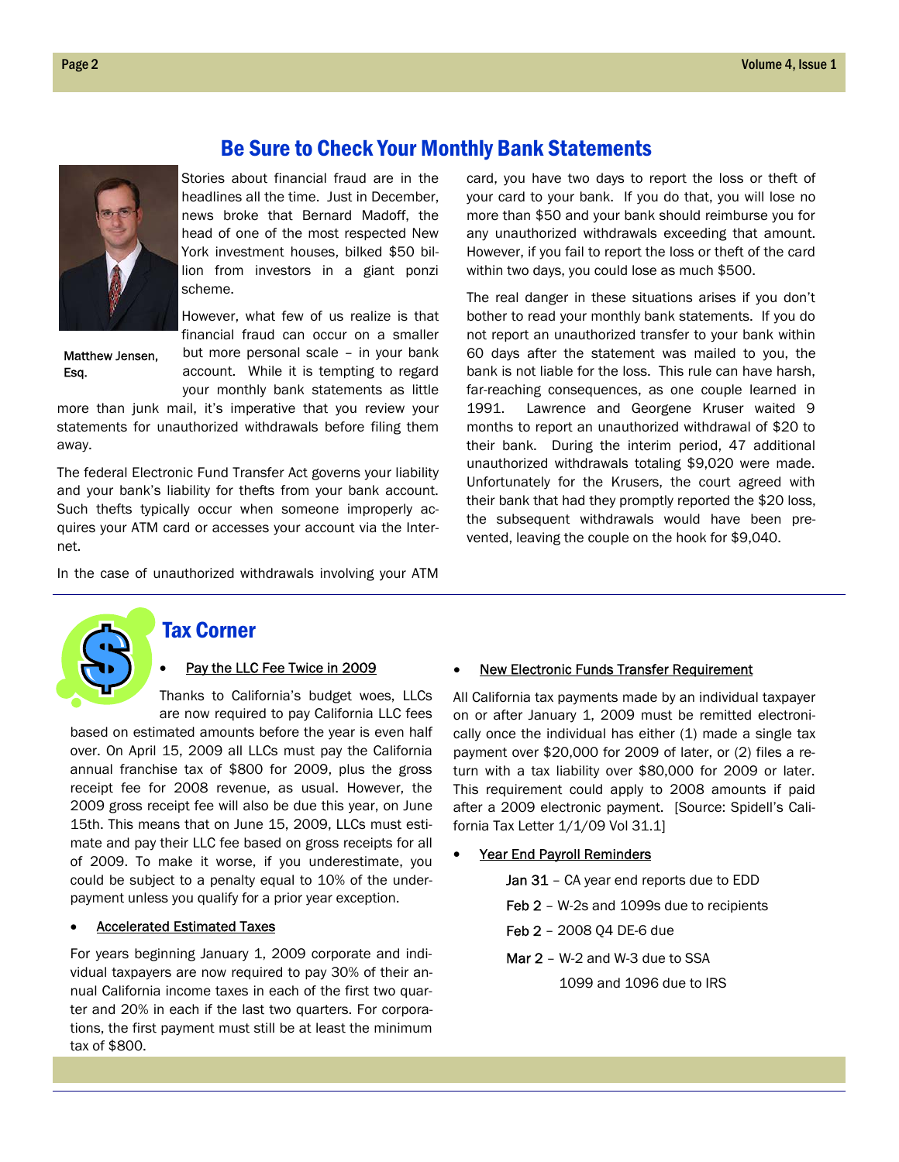

Matthew Jensen, Esq.

Stories about financial fraud are in the headlines all the time. Just in December, news broke that Bernard Madoff, the head of one of the most respected New York investment houses, bilked \$50 billion from investors in a giant ponzi scheme.

However, what few of us realize is that financial fraud can occur on a smaller but more personal scale – in your bank account. While it is tempting to regard your monthly bank statements as little

more than junk mail, it's imperative that you review your statements for unauthorized withdrawals before filing them away.

The federal Electronic Fund Transfer Act governs your liability and your bank's liability for thefts from your bank account. Such thefts typically occur when someone improperly acquires your ATM card or accesses your account via the Internet.

In the case of unauthorized withdrawals involving your ATM

card, you have two days to report the loss or theft of your card to your bank. If you do that, you will lose no more than \$50 and your bank should reimburse you for any unauthorized withdrawals exceeding that amount. However, if you fail to report the loss or theft of the card within two days, you could lose as much \$500.

The real danger in these situations arises if you don't bother to read your monthly bank statements. If you do not report an unauthorized transfer to your bank within 60 days after the statement was mailed to you, the bank is not liable for the loss. This rule can have harsh, far-reaching consequences, as one couple learned in 1991. Lawrence and Georgene Kruser waited 9 months to report an unauthorized withdrawal of \$20 to their bank. During the interim period, 47 additional unauthorized withdrawals totaling \$9,020 were made. Unfortunately for the Krusers, the court agreed with their bank that had they promptly reported the \$20 loss, the subsequent withdrawals would have been prevented, leaving the couple on the hook for \$9,040.



### Tax Corner

### Pay the LLC Fee Twice in 2009

Thanks to California's budget woes, LLCs are now required to pay California LLC fees

based on estimated amounts before the year is even half over. On April 15, 2009 all LLCs must pay the California annual franchise tax of \$800 for 2009, plus the gross receipt fee for 2008 revenue, as usual. However, the 2009 gross receipt fee will also be due this year, on June 15th. This means that on June 15, 2009, LLCs must estimate and pay their LLC fee based on gross receipts for all of 2009. To make it worse, if you underestimate, you could be subject to a penalty equal to 10% of the underpayment unless you qualify for a prior year exception.

### Accelerated Estimated Taxes

For years beginning January 1, 2009 corporate and individual taxpayers are now required to pay 30% of their annual California income taxes in each of the first two quarter and 20% in each if the last two quarters. For corporations, the first payment must still be at least the minimum tax of \$800.

#### New Electronic Funds Transfer Requirement

All California tax payments made by an individual taxpayer on or after January 1, 2009 must be remitted electronically once the individual has either (1) made a single tax payment over \$20,000 for 2009 of later, or (2) files a return with a tax liability over \$80,000 for 2009 or later. This requirement could apply to 2008 amounts if paid after a 2009 electronic payment. [Source: Spidell's California Tax Letter 1/1/09 Vol 31.1]

#### Year End Payroll Reminders

Jan 31 - CA year end reports due to EDD

- Feb 2 W-2s and 1099s due to recipients
- Feb 2 2008 Q4 DE-6 due
- Mar 2 W-2 and W-3 due to SSA

1099 and 1096 due to IRS

## Be Sure to Check Your Monthly Bank Statements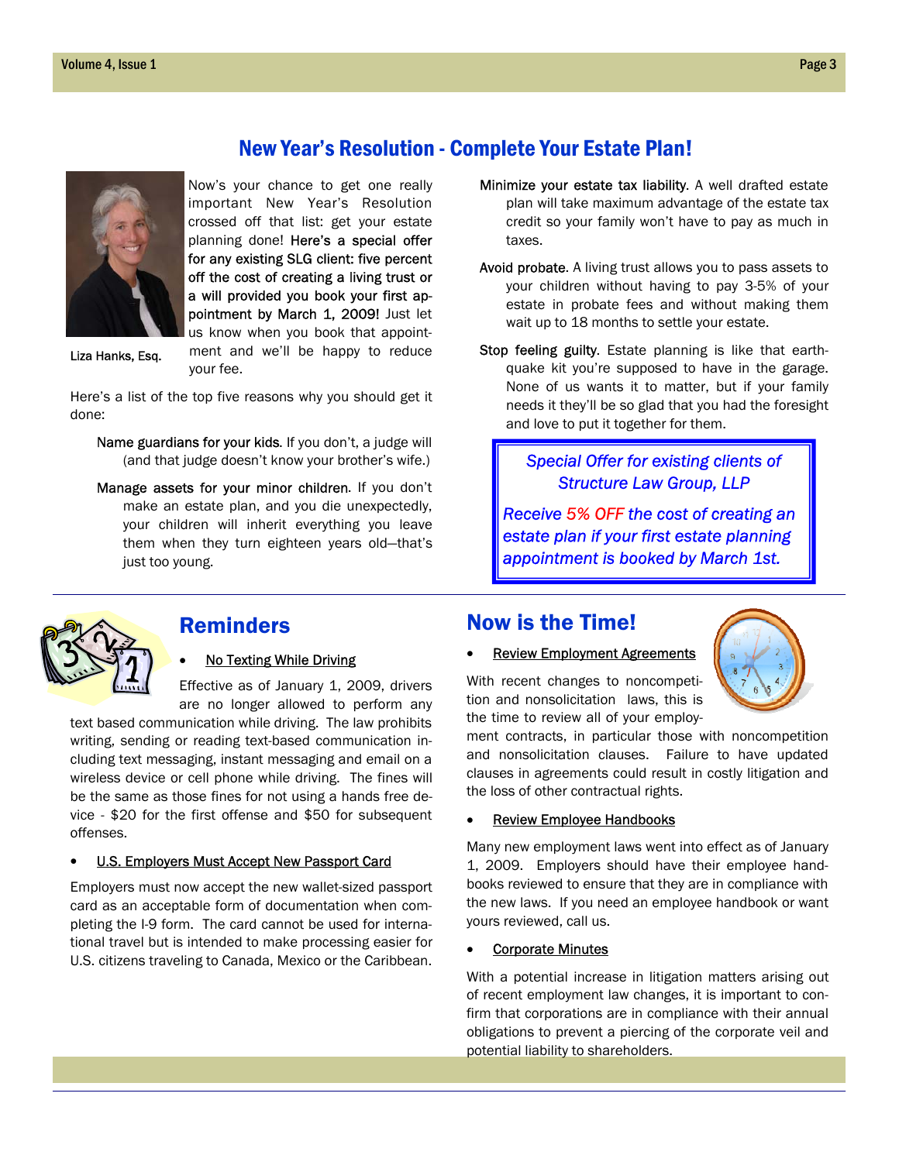## New Year's Resolution - Complete Your Estate Plan!



Now's your chance to get one really important New Year's Resolution crossed off that list: get your estate planning done! Here's a special offer for any existing SLG client: five percent off the cost of creating a living trust or a will provided you book your first appointment by March 1, 2009! Just let us know when you book that appointment and we'll be happy to reduce

Liza Hanks, Esq.

Here's a list of the top five reasons why you should get it done:

your fee.

- Name guardians for your kids. If you don't, a judge will (and that judge doesn't know your brother's wife.)
- Manage assets for your minor children. If you don't make an estate plan, and you die unexpectedly, your children will inherit everything you leave them when they turn eighteen years old—that's just too young.
- Minimize your estate tax liability. A well drafted estate plan will take maximum advantage of the estate tax credit so your family won't have to pay as much in taxes.
- Avoid probate. A living trust allows you to pass assets to your children without having to pay 3-5% of your estate in probate fees and without making them wait up to 18 months to settle your estate.
- Stop feeling guilty. Estate planning is like that earthquake kit you're supposed to have in the garage. None of us wants it to matter, but if your family needs it they'll be so glad that you had the foresight and love to put it together for them.

### *Special Offer for existing clients of Structure Law Group, LLP*

*Receive 5% OFF the cost of creating an estate plan if your first estate planning appointment is booked by March 1st.* 



### Reminders

### No Texting While Driving

Effective as of January 1, 2009, drivers are no longer allowed to perform any

text based communication while driving. The law prohibits writing, sending or reading text-based communication including text messaging, instant messaging and email on a wireless device or cell phone while driving. The fines will be the same as those fines for not using a hands free device - \$20 for the first offense and \$50 for subsequent offenses.

#### U.S. Employers Must Accept New Passport Card

Employers must now accept the new wallet-sized passport card as an acceptable form of documentation when completing the I-9 form. The card cannot be used for international travel but is intended to make processing easier for U.S. citizens traveling to Canada, Mexico or the Caribbean.

### Now is the Time!



With recent changes to noncompetition and nonsolicitation laws, this is the time to review all of your employ-

ment contracts, in particular those with noncompetition and nonsolicitation clauses. Failure to have updated clauses in agreements could result in costly litigation and the loss of other contractual rights.

### **Review Employee Handbooks**

Many new employment laws went into effect as of January 1, 2009. Employers should have their employee handbooks reviewed to ensure that they are in compliance with the new laws. If you need an employee handbook or want yours reviewed, call us.

#### **Corporate Minutes**

With a potential increase in litigation matters arising out of recent employment law changes, it is important to confirm that corporations are in compliance with their annual obligations to prevent a piercing of the corporate veil and potential liability to shareholders.